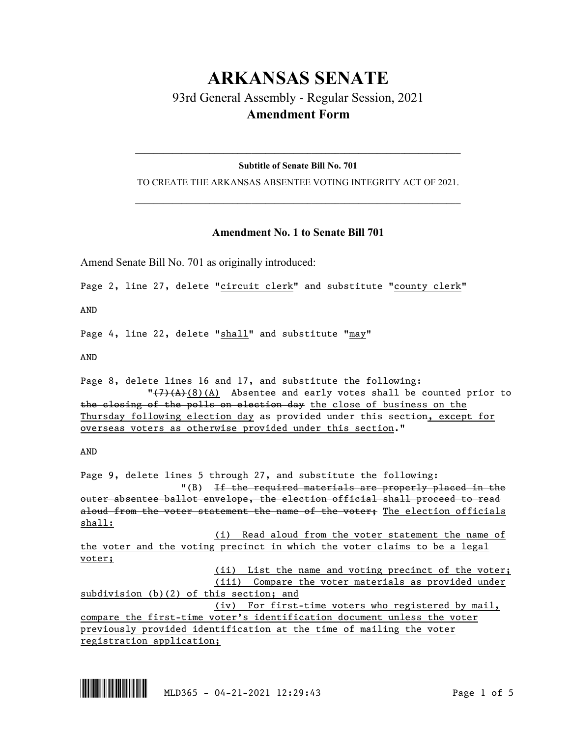# **ARKANSAS SENATE** 93rd General Assembly - Regular Session, 2021 **Amendment Form**

# $\_$  , and the set of the set of the set of the set of the set of the set of the set of the set of the set of the set of the set of the set of the set of the set of the set of the set of the set of the set of the set of th **Subtitle of Senate Bill No. 701**

TO CREATE THE ARKANSAS ABSENTEE VOTING INTEGRITY ACT OF 2021.  $\_$  , and the set of the set of the set of the set of the set of the set of the set of the set of the set of the set of the set of the set of the set of the set of the set of the set of the set of the set of the set of th

## **Amendment No. 1 to Senate Bill 701**

Amend Senate Bill No. 701 as originally introduced:

Page 2, line 27, delete "circuit clerk" and substitute "county clerk"

AND

Page 4, line 22, delete "shall" and substitute "may"

AND

Page 8, delete lines 16 and 17, and substitute the following:  $\sqrt{(7)(A)(8)}$ (A) Absentee and early votes shall be counted prior to the closing of the polls on election day the close of business on the Thursday following election day as provided under this section, except for overseas voters as otherwise provided under this section."

AND

Page 9, delete lines 5 through 27, and substitute the following: "(B) If the required materials are properly placed in the outer absentee ballot envelope, the election official shall proceed to read aloud from the voter statement the name of the voter: The election officials shall:

(i) Read aloud from the voter statement the name of the voter and the voting precinct in which the voter claims to be a legal voter;

(ii) List the name and voting precinct of the voter;

(iii) Compare the voter materials as provided under subdivision (b)(2) of this section; and (iv) For first-time voters who registered by mail, compare the first-time voter's identification document unless the voter previously provided identification at the time of mailing the voter

registration application;

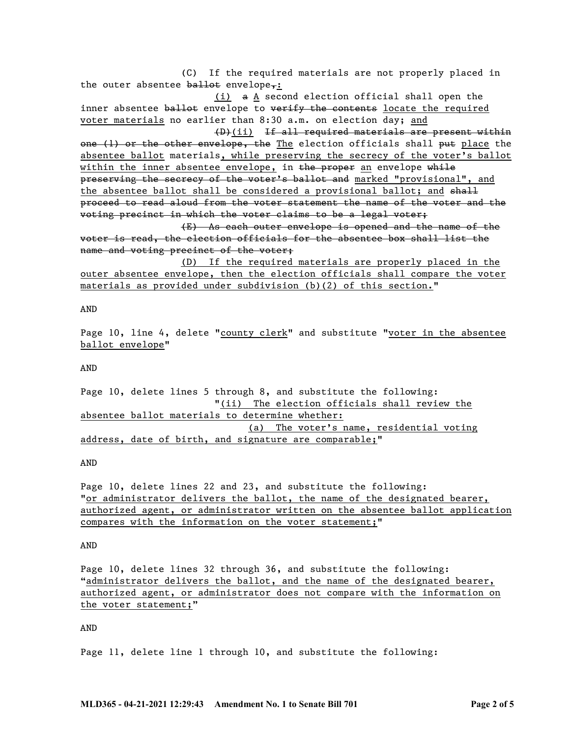(C) If the required materials are not properly placed in the outer absentee  $b$ allot envelope,:

(i) a A second election official shall open the inner absentee ballot envelope to verify the contents locate the required voter materials no earlier than 8:30 a.m. on election day; and

(D)(ii) If all required materials are present within one (1) or the other envelope, the The election officials shall put place the absentee ballot materials, while preserving the secrecy of the voter's ballot within the inner absentee envelope, in  $t$ he proper an envelope while preserving the secrecy of the voter's ballot and marked "provisional", and the absentee ballot shall be considered a provisional ballot; and shall proceed to read aloud from the voter statement the name of the voter and the voting precinct in which the voter claims to be a legal voter;

(E) As each outer envelope is opened and the name of the voter is read, the election officials for the absentee box shall list the name and voting precinct of the voter;

(D) If the required materials are properly placed in the outer absentee envelope, then the election officials shall compare the voter materials as provided under subdivision (b)(2) of this section."

AND

Page 10, line 4, delete "county clerk" and substitute "voter in the absentee ballot envelope"

AND

Page 10, delete lines 5 through 8, and substitute the following: "(ii) The election officials shall review the absentee ballot materials to determine whether: (a) The voter's name, residential voting address, date of birth, and signature are comparable;"

AND

Page 10, delete lines 22 and 23, and substitute the following: "or administrator delivers the ballot, the name of the designated bearer, authorized agent, or administrator written on the absentee ballot application compares with the information on the voter statement;"

#### AND

Page 10, delete lines 32 through 36, and substitute the following: "administrator delivers the ballot, and the name of the designated bearer, authorized agent, or administrator does not compare with the information on the voter statement;"

AND

Page 11, delete line 1 through 10, and substitute the following: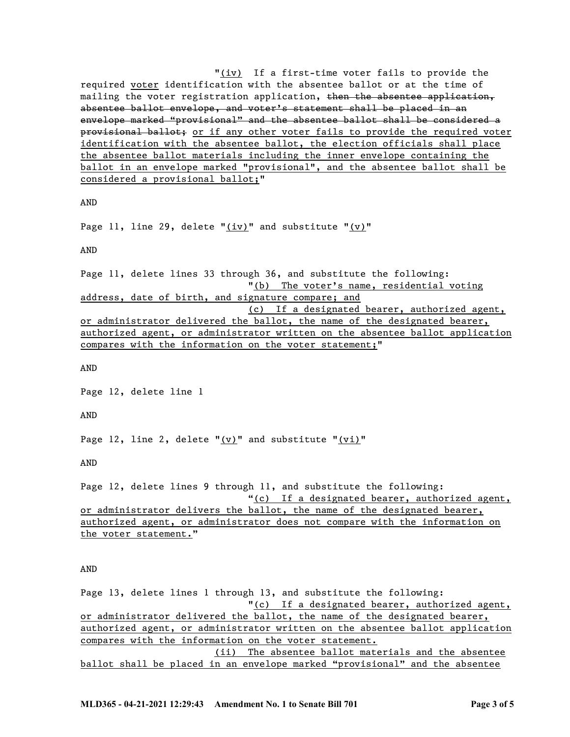"(iv) If a first-time voter fails to provide the required voter identification with the absentee ballot or at the time of mailing the voter registration application, then the absentee application, absentee ballot envelope, and voter's statement shall be placed in an envelope marked "provisional" and the absentee ballot shall be considered a provisional ballot; or if any other voter fails to provide the required voter identification with the absentee ballot, the election officials shall place the absentee ballot materials including the inner envelope containing the ballot in an envelope marked "provisional", and the absentee ballot shall be considered a provisional ballot;"

AND

Page 11, line 29, delete " $(iv)$ " and substitute " $(v)$ "

AND

Page 11, delete lines 33 through 36, and substitute the following: "(b) The voter's name, residential voting address, date of birth, and signature compare; and (c) If a designated bearer, authorized agent, or administrator delivered the ballot, the name of the designated bearer, authorized agent, or administrator written on the absentee ballot application compares with the information on the voter statement;"

AND

Page 12, delete line 1

AND

Page 12, line 2, delete " $(v)$ " and substitute " $(vi)$ "

AND

Page 12, delete lines 9 through 11, and substitute the following: "(c) If a designated bearer, authorized agent, or administrator delivers the ballot, the name of the designated bearer, authorized agent, or administrator does not compare with the information on the voter statement."

AND

Page 13, delete lines 1 through 13, and substitute the following: "(c) If a designated bearer, authorized agent, or administrator delivered the ballot, the name of the designated bearer, authorized agent, or administrator written on the absentee ballot application compares with the information on the voter statement. (ii) The absentee ballot materials and the absentee ballot shall be placed in an envelope marked "provisional" and the absentee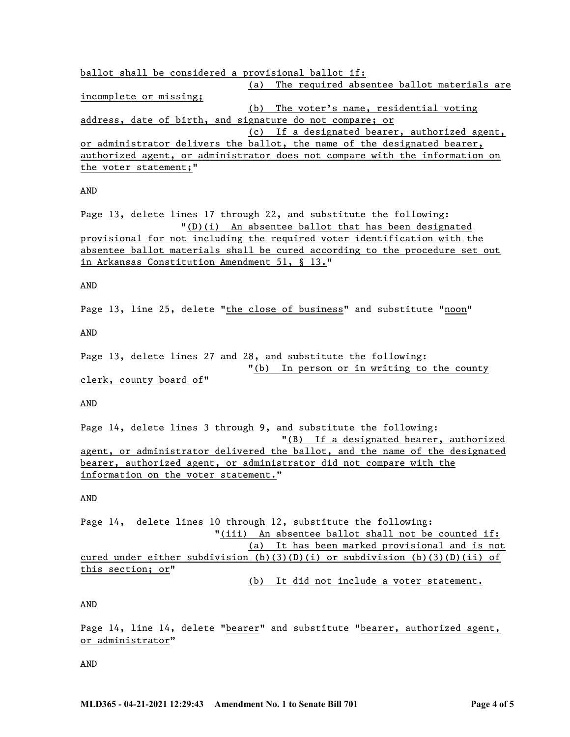ballot shall be considered a provisional ballot if: (a) The required absentee ballot materials are incomplete or missing; (b) The voter's name, residential voting address, date of birth, and signature do not compare; or (c) If a designated bearer, authorized agent, or administrator delivers the ballot, the name of the designated bearer, authorized agent, or administrator does not compare with the information on the voter statement;"

#### AND

Page 13, delete lines 17 through 22, and substitute the following: "(D)(i) An absentee ballot that has been designated provisional for not including the required voter identification with the absentee ballot materials shall be cured according to the procedure set out in Arkansas Constitution Amendment 51, § 13."

#### AND

Page 13, line 25, delete "the close of business" and substitute "noon"

AND

Page 13, delete lines 27 and 28, and substitute the following: "(b) In person or in writing to the county clerk, county board of"

AND

Page 14, delete lines 3 through 9, and substitute the following: "(B) If a designated bearer, authorized agent, or administrator delivered the ballot, and the name of the designated bearer, authorized agent, or administrator did not compare with the information on the voter statement."

#### AND

Page 14, delete lines 10 through 12, substitute the following: "(iii) An absentee ballot shall not be counted if: (a) It has been marked provisional and is not cured under either subdivision (b)(3)(D)(i) or subdivision (b)(3)(D)(ii) of this section; or"

(b) It did not include a voter statement.

### AND

Page 14, line 14, delete "bearer" and substitute "bearer, authorized agent, or administrator"

AND